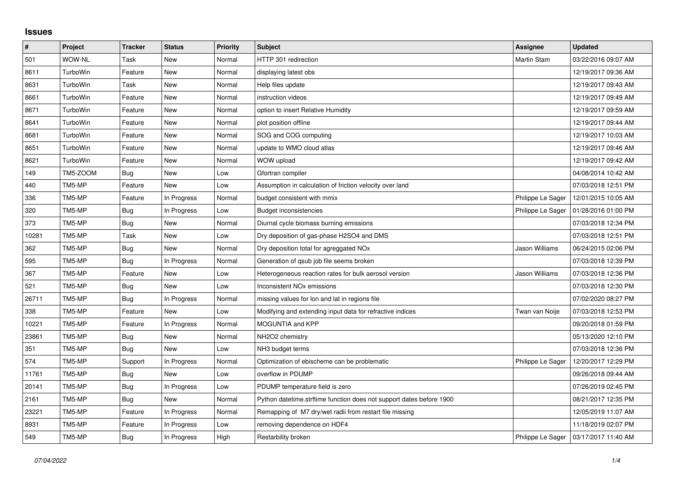## **Issues**

| $\vert$ # | Project         | <b>Tracker</b> | <b>Status</b> | <b>Priority</b> | <b>Subject</b>                                                       | <b>Assignee</b>   | <b>Updated</b>                          |
|-----------|-----------------|----------------|---------------|-----------------|----------------------------------------------------------------------|-------------------|-----------------------------------------|
| 501       | WOW-NL          | Task           | New           | Normal          | HTTP 301 redirection                                                 | Martin Stam       | 03/22/2016 09:07 AM                     |
| 8611      | <b>TurboWin</b> | Feature        | New           | Normal          | displaying latest obs                                                |                   | 12/19/2017 09:36 AM                     |
| 8631      | TurboWin        | Task           | New           | Normal          | Help files update                                                    |                   | 12/19/2017 09:43 AM                     |
| 8661      | TurboWin        | Feature        | New           | Normal          | instruction videos                                                   |                   | 12/19/2017 09:49 AM                     |
| 8671      | TurboWin        | Feature        | New           | Normal          | option to insert Relative Humidity                                   |                   | 12/19/2017 09:59 AM                     |
| 8641      | TurboWin        | Feature        | New           | Normal          | plot position offline                                                |                   | 12/19/2017 09:44 AM                     |
| 8681      | TurboWin        | Feature        | New           | Normal          | SOG and COG computing                                                |                   | 12/19/2017 10:03 AM                     |
| 8651      | TurboWin        | Feature        | New           | Normal          | update to WMO cloud atlas                                            |                   | 12/19/2017 09:46 AM                     |
| 8621      | TurboWin        | Feature        | New           | Normal          | WOW upload                                                           |                   | 12/19/2017 09:42 AM                     |
| 149       | TM5-ZOOM        | <b>Bug</b>     | New           | Low             | Gfortran compiler                                                    |                   | 04/08/2014 10:42 AM                     |
| 440       | TM5-MP          | Feature        | New           | Low             | Assumption in calculation of friction velocity over land             |                   | 07/03/2018 12:51 PM                     |
| 336       | TM5-MP          | Feature        | In Progress   | Normal          | budget consistent with mmix                                          | Philippe Le Sager | 12/01/2015 10:05 AM                     |
| 320       | TM5-MP          | Bug            | In Progress   | Low             | <b>Budget inconsistencies</b>                                        | Philippe Le Sager | 01/28/2016 01:00 PM                     |
| 373       | TM5-MP          | <b>Bug</b>     | New           | Normal          | Diurnal cycle biomass burning emissions                              |                   | 07/03/2018 12:34 PM                     |
| 10281     | TM5-MP          | Task           | New           | Low             | Dry deposition of gas-phase H2SO4 and DMS                            |                   | 07/03/2018 12:51 PM                     |
| 362       | TM5-MP          | Bug            | New           | Normal          | Dry deposition total for agreggated NO <sub>x</sub>                  | Jason Williams    | 06/24/2015 02:06 PM                     |
| 595       | TM5-MP          | <b>Bug</b>     | In Progress   | Normal          | Generation of qsub job file seems broken                             |                   | 07/03/2018 12:39 PM                     |
| 367       | TM5-MP          | Feature        | New           | Low             | Heterogeneous reaction rates for bulk aerosol version                | Jason Williams    | 07/03/2018 12:36 PM                     |
| 521       | TM5-MP          | Bug            | <b>New</b>    | Low             | Inconsistent NO <sub>x</sub> emissions                               |                   | 07/03/2018 12:30 PM                     |
| 26711     | TM5-MP          | <b>Bug</b>     | In Progress   | Normal          | missing values for lon and lat in regions file                       |                   | 07/02/2020 08:27 PM                     |
| 338       | TM5-MP          | Feature        | New           | Low             | Modifying and extending input data for refractive indices            | Twan van Noije    | 07/03/2018 12:53 PM                     |
| 10221     | TM5-MP          | Feature        | In Progress   | Normal          | MOGUNTIA and KPP                                                     |                   | 09/20/2018 01:59 PM                     |
| 23861     | TM5-MP          | Bug            | New           | Normal          | NH <sub>2</sub> O <sub>2</sub> chemistry                             |                   | 05/13/2020 12:10 PM                     |
| 351       | TM5-MP          | Bug            | <b>New</b>    | Low             | NH3 budget terms                                                     |                   | 07/03/2018 12:36 PM                     |
| 574       | TM5-MP          | Support        | In Progress   | Normal          | Optimization of ebischeme can be problematic                         | Philippe Le Sager | 12/20/2017 12:29 PM                     |
| 11761     | TM5-MP          | <b>Bug</b>     | New           | Low             | overflow in PDUMP                                                    |                   | 09/26/2018 09:44 AM                     |
| 20141     | TM5-MP          | <b>Bug</b>     | In Progress   | Low             | PDUMP temperature field is zero                                      |                   | 07/26/2019 02:45 PM                     |
| 2161      | TM5-MP          | Bug            | New           | Normal          | Python datetime.strftime function does not support dates before 1900 |                   | 08/21/2017 12:35 PM                     |
| 23221     | TM5-MP          | Feature        | In Progress   | Normal          | Remapping of M7 dry/wet radii from restart file missing              |                   | 12/05/2019 11:07 AM                     |
| 8931      | TM5-MP          | Feature        | In Progress   | Low             | removing dependence on HDF4                                          |                   | 11/18/2019 02:07 PM                     |
| 549       | TM5-MP          | Bug            | In Progress   | High            | Restarbility broken                                                  |                   | Philippe Le Sager   03/17/2017 11:40 AM |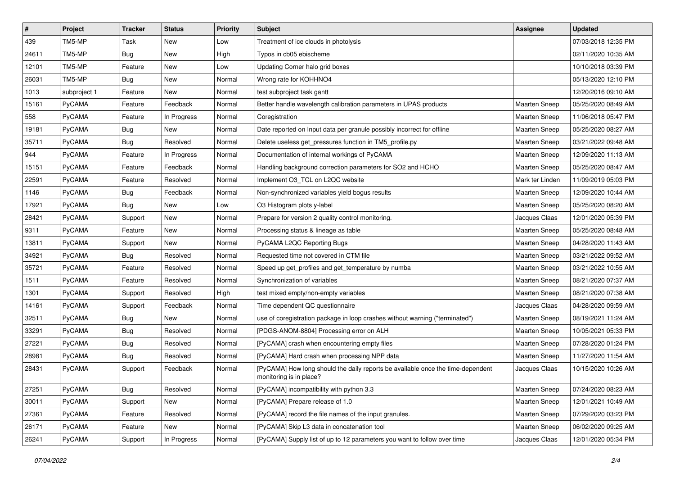| $\sharp$ | Project       | <b>Tracker</b> | <b>Status</b> | <b>Priority</b> | <b>Subject</b>                                                                                             | <b>Assignee</b>      | <b>Updated</b>      |
|----------|---------------|----------------|---------------|-----------------|------------------------------------------------------------------------------------------------------------|----------------------|---------------------|
| 439      | TM5-MP        | Task           | New           | Low             | Treatment of ice clouds in photolysis                                                                      |                      | 07/03/2018 12:35 PM |
| 24611    | TM5-MP        | Bug            | New           | High            | Typos in cb05 ebischeme                                                                                    |                      | 02/11/2020 10:35 AM |
| 12101    | TM5-MP        | Feature        | New           | Low             | Updating Corner halo grid boxes                                                                            |                      | 10/10/2018 03:39 PM |
| 26031    | TM5-MP        | <b>Bug</b>     | New           | Normal          | Wrong rate for KOHHNO4                                                                                     |                      | 05/13/2020 12:10 PM |
| 1013     | subproject 1  | Feature        | <b>New</b>    | Normal          | test subproject task gantt                                                                                 |                      | 12/20/2016 09:10 AM |
| 15161    | PyCAMA        | Feature        | Feedback      | Normal          | Better handle wavelength calibration parameters in UPAS products                                           | Maarten Sneep        | 05/25/2020 08:49 AM |
| 558      | <b>PyCAMA</b> | Feature        | In Progress   | Normal          | Coregistration                                                                                             | <b>Maarten Sneep</b> | 11/06/2018 05:47 PM |
| 19181    | <b>PyCAMA</b> | <b>Bug</b>     | New           | Normal          | Date reported on Input data per granule possibly incorrect for offline                                     | <b>Maarten Sneep</b> | 05/25/2020 08:27 AM |
| 35711    | <b>PyCAMA</b> | <b>Bug</b>     | Resolved      | Normal          | Delete useless get_pressures function in TM5_profile.py                                                    | <b>Maarten Sneep</b> | 03/21/2022 09:48 AM |
| 944      | PyCAMA        | Feature        | In Progress   | Normal          | Documentation of internal workings of PyCAMA                                                               | Maarten Sneep        | 12/09/2020 11:13 AM |
| 15151    | <b>PyCAMA</b> | Feature        | Feedback      | Normal          | Handling background correction parameters for SO2 and HCHO                                                 | <b>Maarten Sneep</b> | 05/25/2020 08:47 AM |
| 22591    | PyCAMA        | Feature        | Resolved      | Normal          | Implement O3 TCL on L2QC website                                                                           | Mark ter Linden      | 11/09/2019 05:03 PM |
| 1146     | PyCAMA        | <b>Bug</b>     | Feedback      | Normal          | Non-synchronized variables yield bogus results                                                             | Maarten Sneep        | 12/09/2020 10:44 AM |
| 17921    | PyCAMA        | <b>Bug</b>     | New           | Low             | O3 Histogram plots y-label                                                                                 | <b>Maarten Sneep</b> | 05/25/2020 08:20 AM |
| 28421    | PyCAMA        | Support        | New           | Normal          | Prepare for version 2 quality control monitoring.                                                          | Jacques Claas        | 12/01/2020 05:39 PM |
| 9311     | <b>PyCAMA</b> | Feature        | New           | Normal          | Processing status & lineage as table                                                                       | Maarten Sneep        | 05/25/2020 08:48 AM |
| 13811    | <b>PyCAMA</b> | Support        | New           | Normal          | PyCAMA L2QC Reporting Bugs                                                                                 | <b>Maarten Sneep</b> | 04/28/2020 11:43 AM |
| 34921    | <b>PyCAMA</b> | <b>Bug</b>     | Resolved      | Normal          | Requested time not covered in CTM file                                                                     | <b>Maarten Sneep</b> | 03/21/2022 09:52 AM |
| 35721    | PyCAMA        | Feature        | Resolved      | Normal          | Speed up get_profiles and get_temperature by numba                                                         | Maarten Sneep        | 03/21/2022 10:55 AM |
| 1511     | PyCAMA        | Feature        | Resolved      | Normal          | Synchronization of variables                                                                               | Maarten Sneep        | 08/21/2020 07:37 AM |
| 1301     | <b>PyCAMA</b> | Support        | Resolved      | High            | test mixed empty/non-empty variables                                                                       | <b>Maarten Sneep</b> | 08/21/2020 07:38 AM |
| 14161    | PyCAMA        | Support        | Feedback      | Normal          | Time dependent QC questionnaire                                                                            | Jacques Claas        | 04/28/2020 09:59 AM |
| 32511    | <b>PyCAMA</b> | <b>Bug</b>     | New           | Normal          | use of coregistration package in loop crashes without warning ("terminated")                               | Maarten Sneep        | 08/19/2021 11:24 AM |
| 33291    | PyCAMA        | <b>Bug</b>     | Resolved      | Normal          | [PDGS-ANOM-8804] Processing error on ALH                                                                   | <b>Maarten Sneep</b> | 10/05/2021 05:33 PM |
| 27221    | PyCAMA        | <b>Bug</b>     | Resolved      | Normal          | [PyCAMA] crash when encountering empty files                                                               | <b>Maarten Sneep</b> | 07/28/2020 01:24 PM |
| 28981    | <b>PyCAMA</b> | <b>Bug</b>     | Resolved      | Normal          | [PyCAMA] Hard crash when processing NPP data                                                               | Maarten Sneep        | 11/27/2020 11:54 AM |
| 28431    | PyCAMA        | Support        | Feedback      | Normal          | [PyCAMA] How long should the daily reports be available once the time-dependent<br>monitoring is in place? | Jacques Claas        | 10/15/2020 10:26 AM |
| 27251    | PyCAMA        | <b>Bug</b>     | Resolved      | Normal          | [PyCAMA] incompatibility with python 3.3                                                                   | Maarten Sneep        | 07/24/2020 08:23 AM |
| 30011    | PyCAMA        | Support        | New           | Normal          | [PyCAMA] Prepare release of 1.0                                                                            | Maarten Sneep        | 12/01/2021 10:49 AM |
| 27361    | PyCAMA        | Feature        | Resolved      | Normal          | [PyCAMA] record the file names of the input granules.                                                      | Maarten Sneep        | 07/29/2020 03:23 PM |
| 26171    | PyCAMA        | Feature        | New           | Normal          | [PyCAMA] Skip L3 data in concatenation tool                                                                | Maarten Sneep        | 06/02/2020 09:25 AM |
| 26241    | PyCAMA        | Support        | In Progress   | Normal          | [PyCAMA] Supply list of up to 12 parameters you want to follow over time                                   | Jacques Claas        | 12/01/2020 05:34 PM |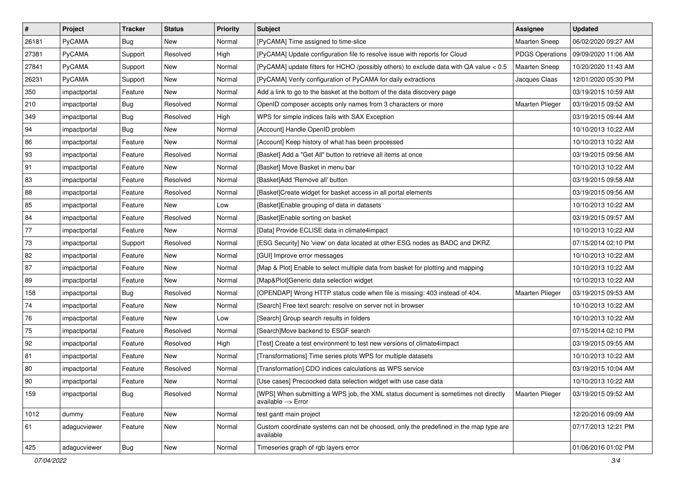| $\vert$ #  | Project       | <b>Tracker</b> | <b>Status</b> | <b>Priority</b> | <b>Subject</b>                                                                                            | Assignee               | <b>Updated</b>      |
|------------|---------------|----------------|---------------|-----------------|-----------------------------------------------------------------------------------------------------------|------------------------|---------------------|
| 26181      | <b>PyCAMA</b> | <b>Bug</b>     | New           | Normal          | [PyCAMA] Time assigned to time-slice                                                                      | <b>Maarten Sneep</b>   | 06/02/2020 09:27 AM |
| 27381      | PyCAMA        | Support        | Resolved      | High            | [PyCAMA] Update configuration file to resolve issue with reports for Cloud                                | <b>PDGS Operations</b> | 09/09/2020 11:06 AM |
| 27841      | <b>PyCAMA</b> | Support        | New           | Normal          | [PyCAMA] update filters for HCHO (possibly others) to exclude data with QA value < 0.5                    | Maarten Sneep          | 10/20/2020 11:43 AM |
| 26231      | PyCAMA        | Support        | New           | Normal          | [PyCAMA] Verify configuration of PyCAMA for daily extractions                                             | Jacques Claas          | 12/01/2020 05:30 PM |
| 350        | impactportal  | Feature        | New           | Normal          | Add a link to go to the basket at the bottom of the data discovery page                                   |                        | 03/19/2015 10:59 AM |
| 210        | impactportal  | <b>Bug</b>     | Resolved      | Normal          | OpenID composer accepts only names from 3 characters or more                                              | Maarten Plieger        | 03/19/2015 09:52 AM |
| 349        | impactportal  | Bug            | Resolved      | High            | WPS for simple indices fails with SAX Exception                                                           |                        | 03/19/2015 09:44 AM |
| 94         | impactportal  | <b>Bug</b>     | New           | Normal          | [Account] Handle OpenID problem                                                                           |                        | 10/10/2013 10:22 AM |
| 86         | impactportal  | Feature        | New           | Normal          | [Account] Keep history of what has been processed                                                         |                        | 10/10/2013 10:22 AM |
| 93         | impactportal  | Feature        | Resolved      | Normal          | [Basket] Add a "Get All" button to retrieve all items at once                                             |                        | 03/19/2015 09:56 AM |
| 91         | impactportal  | Feature        | New           | Normal          | [Basket] Move Basket in menu bar                                                                          |                        | 10/10/2013 10:22 AM |
| 83         | impactportal  | Feature        | Resolved      | Normal          | [Basket]Add 'Remove all' button                                                                           |                        | 03/19/2015 09:58 AM |
| 88         | impactportal  | Feature        | Resolved      | Normal          | [Basket]Create widget for basket access in all portal elements                                            |                        | 03/19/2015 09:56 AM |
| 85         | impactportal  | Feature        | New           | Low             | [Basket]Enable grouping of data in datasets                                                               |                        | 10/10/2013 10:22 AM |
| 84         | impactportal  | Feature        | Resolved      | Normal          | [Basket]Enable sorting on basket                                                                          |                        | 03/19/2015 09:57 AM |
| $77 \,$    | impactportal  | Feature        | New           | Normal          | [Data] Provide ECLISE data in climate4impact                                                              |                        | 10/10/2013 10:22 AM |
| $73\,$     | impactportal  | Support        | Resolved      | Normal          | [ESG Security] No 'view' on data located at other ESG nodes as BADC and DKRZ                              |                        | 07/15/2014 02:10 PM |
| 82         | impactportal  | Feature        | New           | Normal          | [GUI] Improve error messages                                                                              |                        | 10/10/2013 10:22 AM |
| 87         | impactportal  | Feature        | New           | Normal          | [Map & Plot] Enable to select multiple data from basket for plotting and mapping                          |                        | 10/10/2013 10:22 AM |
| 89         | impactportal  | Feature        | New           | Normal          | [Map&Plot]Generic data selection widget                                                                   |                        | 10/10/2013 10:22 AM |
| 158        | impactportal  | <b>Bug</b>     | Resolved      | Normal          | [OPENDAP] Wrong HTTP status code when file is missing: 403 instead of 404.                                | <b>Maarten Plieger</b> | 03/19/2015 09:53 AM |
| 74         | impactportal  | Feature        | New           | Normal          | [Search] Free text search: resolve on server not in browser                                               |                        | 10/10/2013 10:22 AM |
| 76         | impactportal  | Feature        | New           | Low             | [Search] Group search results in folders                                                                  |                        | 10/10/2013 10:22 AM |
| ${\bf 75}$ | impactportal  | Feature        | Resolved      | Normal          | [Search]Move backend to ESGF search                                                                       |                        | 07/15/2014 02:10 PM |
| 92         | impactportal  | Feature        | Resolved      | High            | [Test] Create a test environment to test new versions of climate4impact                                   |                        | 03/19/2015 09:55 AM |
| 81         | impactportal  | Feature        | New           | Normal          | [Transformations] Time series plots WPS for multiple datasets                                             |                        | 10/10/2013 10:22 AM |
| 80         | impactportal  | Feature        | Resolved      | Normal          | [Transformation] CDO indices calculations as WPS service                                                  |                        | 03/19/2015 10:04 AM |
| 90         | impactportal  | Feature        | New           | Normal          | [Use cases] Precoocked data selection widget with use case data                                           |                        | 10/10/2013 10:22 AM |
| 159        | impactportal  | <b>Bug</b>     | Resolved      | Normal          | [WPS] When submitting a WPS job, the XML status document is sometimes not directly<br>available --> Error | <b>Maarten Plieger</b> | 03/19/2015 09:52 AM |
| 1012       | dummy         | Feature        | New           | Normal          | test gantt main project                                                                                   |                        | 12/20/2016 09:09 AM |
| 61         | adagucviewer  | Feature        | New           | Normal          | Custom coordinate systems can not be choosed, only the predefined in the map type are<br>available        |                        | 07/17/2013 12:21 PM |
| 425        | adagucviewer  | <b>Bug</b>     | New           | Normal          | Timeseries graph of rgb layers error                                                                      |                        | 01/06/2016 01:02 PM |